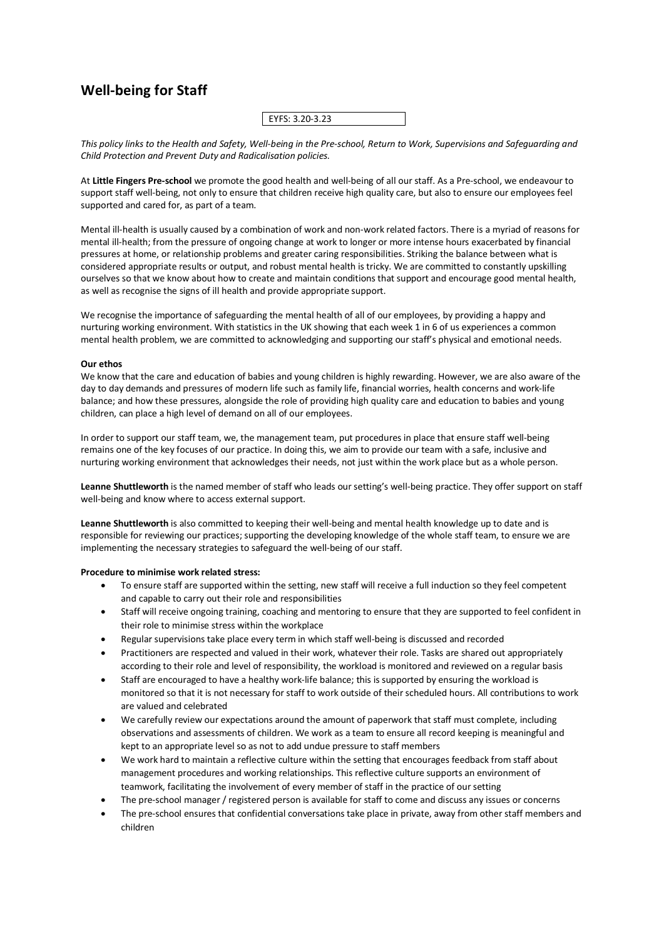## **Well-being for Staff**

EYFS: 3.20-3.23

*This policy links to the Health and Safety, Well-being in the Pre-school, Return to Work, Supervisions and Safeguarding and Child Protection and Prevent Duty and Radicalisation policies.*

At **Little Fingers Pre-school** we promote the good health and well-being of all our staff. As a Pre-school, we endeavour to support staff well-being, not only to ensure that children receive high quality care, but also to ensure our employees feel supported and cared for, as part of a team.

Mental ill-health is usually caused by a combination of work and non-work related factors. There is a myriad of reasons for mental ill-health; from the pressure of ongoing change at work to longer or more intense hours exacerbated by financial pressures at home, or relationship problems and greater caring responsibilities. Striking the balance between what is considered appropriate results or output, and robust mental health is tricky. We are committed to constantly upskilling ourselves so that we know about how to create and maintain conditions that support and encourage good mental health, as well as recognise the signs of ill health and provide appropriate support.

We recognise the importance of safeguarding the mental health of all of our employees, by providing a happy and nurturing working environment. With statistics in the UK showing that each week 1 in 6 of us experiences a common mental health problem, we are committed to acknowledging and supporting our staff's physical and emotional needs.

## **Our ethos**

We know that the care and education of babies and young children is highly rewarding. However, we are also aware of the day to day demands and pressures of modern life such as family life, financial worries, health concerns and work-life balance; and how these pressures, alongside the role of providing high quality care and education to babies and young children, can place a high level of demand on all of our employees.

In order to support our staff team, we, the management team, put procedures in place that ensure staff well-being remains one of the key focuses of our practice. In doing this, we aim to provide our team with a safe, inclusive and nurturing working environment that acknowledges their needs, not just within the work place but as a whole person.

**Leanne Shuttleworth** is the named member of staff who leads our setting's well-being practice. They offer support on staff well-being and know where to access external support.

**Leanne Shuttleworth** is also committed to keeping their well-being and mental health knowledge up to date and is responsible for reviewing our practices; supporting the developing knowledge of the whole staff team, to ensure we are implementing the necessary strategies to safeguard the well-being of our staff.

## **Procedure to minimise work related stress:**

- To ensure staff are supported within the setting, new staff will receive a full induction so they feel competent and capable to carry out their role and responsibilities
- Staff will receive ongoing training, coaching and mentoring to ensure that they are supported to feel confident in their role to minimise stress within the workplace
- Regular supervisions take place every term in which staff well-being is discussed and recorded
- Practitioners are respected and valued in their work, whatever their role. Tasks are shared out appropriately according to their role and level of responsibility, the workload is monitored and reviewed on a regular basis
- Staff are encouraged to have a healthy work-life balance; this is supported by ensuring the workload is monitored so that it is not necessary for staff to work outside of their scheduled hours. All contributions to work are valued and celebrated
- We carefully review our expectations around the amount of paperwork that staff must complete, including observations and assessments of children. We work as a team to ensure all record keeping is meaningful and kept to an appropriate level so as not to add undue pressure to staff members
- We work hard to maintain a reflective culture within the setting that encourages feedback from staff about management procedures and working relationships. This reflective culture supports an environment of teamwork, facilitating the involvement of every member of staff in the practice of our setting
- The pre-school manager / registered person is available for staff to come and discuss any issues or concerns
- The pre-school ensures that confidential conversations take place in private, away from other staff members and children